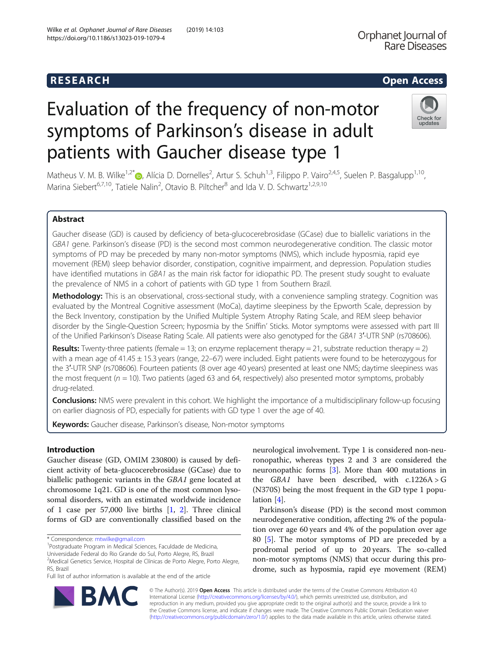# **RESEARCH RESEARCH CONSUMING ACCESS**

# Orphanet Journal of **Rare Diseases**

# Evaluation of the frequency of non-motor symptoms of Parkinson's disease in adult patients with Gaucher disease type 1



Matheus V. M. B. Wilke<sup>1[,](http://orcid.org/0000-0002-8302-7705)2\*</sup> (D. Alícia D. Dornelles<sup>2</sup>, Artur S. Schuh<sup>1,3</sup>, Filippo P. Vairo<sup>2,4,5</sup>, Suelen P. Basgalupp<sup>1,10</sup>, Marina Siebert<sup>6,7,10</sup>, Tatiele Nalin<sup>2</sup>, Otavio B. Piltcher<sup>8</sup> and Ida V. D. Schwartz<sup>1,2,9,10</sup>

## Abstract

Gaucher disease (GD) is caused by deficiency of beta-glucocerebrosidase (GCase) due to biallelic variations in the GBA1 gene. Parkinson's disease (PD) is the second most common neurodegenerative condition. The classic motor symptoms of PD may be preceded by many non-motor symptoms (NMS), which include hyposmia, rapid eye movement (REM) sleep behavior disorder, constipation, cognitive impairment, and depression. Population studies have identified mutations in GBA1 as the main risk factor for idiopathic PD. The present study sought to evaluate the prevalence of NMS in a cohort of patients with GD type 1 from Southern Brazil.

Methodology: This is an observational, cross-sectional study, with a convenience sampling strategy. Cognition was evaluated by the Montreal Cognitive assessment (MoCa), daytime sleepiness by the Epworth Scale, depression by the Beck Inventory, constipation by the Unified Multiple System Atrophy Rating Scale, and REM sleep behavior disorder by the Single-Question Screen; hyposmia by the Sniffin' Sticks. Motor symptoms were assessed with part III of the Unified Parkinson's Disease Rating Scale. All patients were also genotyped for the GBA1 3′-UTR SNP (rs708606).

**Results:** Twenty-three patients (female = 13; on enzyme replacement therapy = 21, substrate reduction therapy = 2) with a mean age of 41.45  $\pm$  15.3 years (range, 22–67) were included. Eight patients were found to be heterozygous for the 3′-UTR SNP (rs708606). Fourteen patients (8 over age 40 years) presented at least one NMS; daytime sleepiness was the most frequent ( $n = 10$ ). Two patients (aged 63 and 64, respectively) also presented motor symptoms, probably drug-related.

**Conclusions:** NMS were prevalent in this cohort. We highlight the importance of a multidisciplinary follow-up focusing on earlier diagnosis of PD, especially for patients with GD type 1 over the age of 40.

Keywords: Gaucher disease, Parkinson's disease, Non-motor symptoms

### Introduction

Gaucher disease (GD, OMIM 230800) is caused by deficient activity of beta-glucocerebrosidase (GCase) due to biallelic pathogenic variants in the GBA1 gene located at chromosome 1q21. GD is one of the most common lysosomal disorders, with an estimated worldwide incidence of 1 case per 57,000 live births [\[1](#page-6-0), [2](#page-6-0)]. Three clinical forms of GD are conventionally classified based on the

Postgraduate Program in Medical Sciences, Faculdade de Medicina,

Universidade Federal do Rio Grande do Sul, Porto Alegre, RS, Brazil

Full list of author information is available at the end of the article



Parkinson's disease (PD) is the second most common neurodegenerative condition, affecting 2% of the population over age 60 years and 4% of the population over age 80 [\[5\]](#page-6-0). The motor symptoms of PD are preceded by a prodromal period of up to 20 years. The so-called non-motor symptoms (NMS) that occur during this prodrome, such as hyposmia, rapid eye movement (REM)



© The Author(s). 2019 Open Access This article is distributed under the terms of the Creative Commons Attribution 4.0 International License [\(http://creativecommons.org/licenses/by/4.0/](http://creativecommons.org/licenses/by/4.0/)), which permits unrestricted use, distribution, and reproduction in any medium, provided you give appropriate credit to the original author(s) and the source, provide a link to the Creative Commons license, and indicate if changes were made. The Creative Commons Public Domain Dedication waiver [\(http://creativecommons.org/publicdomain/zero/1.0/](http://creativecommons.org/publicdomain/zero/1.0/)) applies to the data made available in this article, unless otherwise stated.

<sup>\*</sup> Correspondence: [mtwilke@gmail.com](mailto:mtwilke@gmail.com) <sup>1</sup>

<sup>2</sup> Medical Genetics Service, Hospital de Clínicas de Porto Alegre, Porto Alegre, RS, Brazil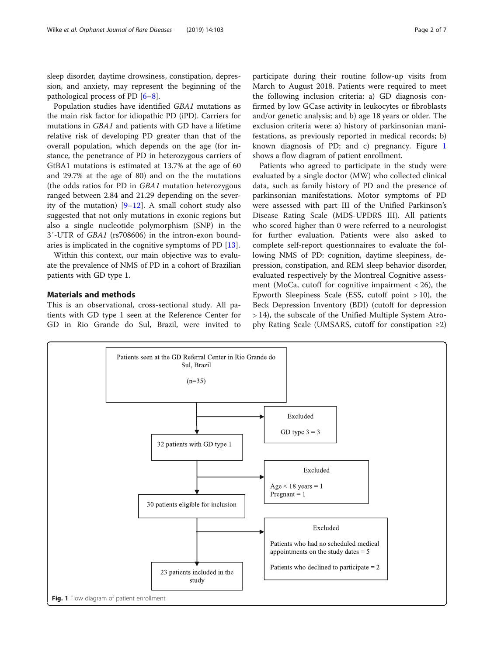sleep disorder, daytime drowsiness, constipation, depression, and anxiety, may represent the beginning of the pathological process of PD [\[6](#page-6-0)–[8\]](#page-6-0).

Population studies have identified GBA1 mutations as the main risk factor for idiopathic PD (iPD). Carriers for mutations in GBA1 and patients with GD have a lifetime relative risk of developing PD greater than that of the overall population, which depends on the age (for instance, the penetrance of PD in heterozygous carriers of GtBA1 mutations is estimated at 13.7% at the age of 60 and 29.7% at the age of 80) and on the the mutations (the odds ratios for PD in GBA1 mutation heterozygous ranged between 2.84 and 21.29 depending on the severity of the mutation)  $[9-12]$  $[9-12]$  $[9-12]$ . A small cohort study also suggested that not only mutations in exonic regions but also a single nucleotide polymorphism (SNP) in the 3′-UTR of GBA1 (rs708606) in the intron-exon boundaries is implicated in the cognitive symptoms of PD [\[13](#page-6-0)].

Within this context, our main objective was to evaluate the prevalence of NMS of PD in a cohort of Brazilian patients with GD type 1.

#### Materials and methods

This is an observational, cross-sectional study. All patients with GD type 1 seen at the Reference Center for GD in Rio Grande do Sul, Brazil, were invited to

participate during their routine follow-up visits from March to August 2018. Patients were required to meet the following inclusion criteria: a) GD diagnosis con-

firmed by low GCase activity in leukocytes or fibroblasts and/or genetic analysis; and b) age 18 years or older. The exclusion criteria were: a) history of parkinsonian manifestations, as previously reported in medical records; b) known diagnosis of PD; and c) pregnancy. Figure 1 shows a flow diagram of patient enrollment.

Patients who agreed to participate in the study were evaluated by a single doctor (MW) who collected clinical data, such as family history of PD and the presence of parkinsonian manifestations. Motor symptoms of PD were assessed with part III of the Unified Parkinson's Disease Rating Scale (MDS-UPDRS III). All patients who scored higher than 0 were referred to a neurologist for further evaluation. Patients were also asked to complete self-report questionnaires to evaluate the following NMS of PD: cognition, daytime sleepiness, depression, constipation, and REM sleep behavior disorder, evaluated respectively by the Montreal Cognitive assessment (MoCa, cutoff for cognitive impairment  $< 26$ ), the Epworth Sleepiness Scale (ESS, cutoff point  $>10$ ), the Beck Depression Inventory (BDI) (cutoff for depression > 14), the subscale of the Unified Multiple System Atrophy Rating Scale (UMSARS, cutoff for constipation ≥2)

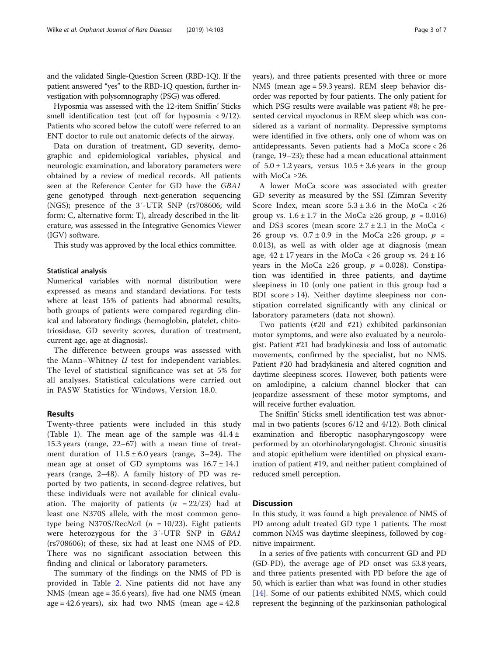and the validated Single-Question Screen (RBD-1Q). If the patient answered "yes" to the RBD-1Q question, further investigation with polysomnography (PSG) was offered.

Hyposmia was assessed with the 12-item Sniffin' Sticks smell identification test (cut off for hyposmia < 9/12). Patients who scored below the cutoff were referred to an ENT doctor to rule out anatomic defects of the airway.

Data on duration of treatment, GD severity, demographic and epidemiological variables, physical and neurologic examination, and laboratory parameters were obtained by a review of medical records. All patients seen at the Reference Center for GD have the GBA1 gene genotyped through next-generation sequencing (NGS); presence of the 3′-UTR SNP (rs708606; wild form: C, alternative form: T), already described in the literature, was assessed in the Integrative Genomics Viewer (IGV) software.

This study was approved by the local ethics committee.

#### Statistical analysis

Numerical variables with normal distribution were expressed as means and standard deviations. For tests where at least 15% of patients had abnormal results, both groups of patients were compared regarding clinical and laboratory findings (hemoglobin, platelet, chitotriosidase, GD severity scores, duration of treatment, current age, age at diagnosis).

The difference between groups was assessed with the Mann–Whitney  $U$  test for independent variables. The level of statistical significance was set at 5% for all analyses. Statistical calculations were carried out in PASW Statistics for Windows, Version 18.0.

#### Results

Twenty-three patients were included in this study (Table [1](#page-3-0)). The mean age of the sample was  $41.4 \pm$ 15.3 years (range, 22–67) with a mean time of treatment duration of  $11.5 \pm 6.0$  years (range, 3–24). The mean age at onset of GD symptoms was  $16.7 \pm 14.1$ years (range, 2–48). A family history of PD was reported by two patients, in second-degree relatives, but these individuals were not available for clinical evaluation. The majority of patients  $(n = 22/23)$  had at least one N370S allele, with the most common genotype being N370S/RecNciI ( $n = 10/23$ ). Eight patients were heterozygous for the 3'-UTR SNP in GBA1 (rs708606); of these, six had at least one NMS of PD. There was no significant association between this finding and clinical or laboratory parameters.

The summary of the findings on the NMS of PD is provided in Table [2.](#page-4-0) Nine patients did not have any NMS (mean age = 35.6 years), five had one NMS (mean age = 42.6 years), six had two NMS (mean age =  $42.8$ )

years), and three patients presented with three or more NMS (mean age = 59.3 years). REM sleep behavior disorder was reported by four patients. The only patient for which PSG results were available was patient #8; he presented cervical myoclonus in REM sleep which was considered as a variant of normality. Depressive symptoms were identified in five others, only one of whom was on antidepressants. Seven patients had a MoCa score < 26 (range, 19–23); these had a mean educational attainment of  $5.0 \pm 1.2$  years, versus  $10.5 \pm 3.6$  years in the group with MoCa ≥26.

A lower MoCa score was associated with greater GD severity as measured by the SSI (Zimran Severity Score Index, mean score  $5.3 \pm 3.6$  in the MoCa < 26 group vs.  $1.6 \pm 1.7$  in the MoCa ≥26 group,  $p = 0.016$ ) and DS3 scores (mean score 2.7 ± 2.1 in the MoCa < 26 group vs.  $0.7 \pm 0.9$  in the MoCa ≥26 group,  $p =$ 0.013), as well as with older age at diagnosis (mean age,  $42 \pm 17$  years in the MoCa < 26 group vs.  $24 \pm 16$ years in the MoCa ≥26 group,  $p = 0.028$ ). Constipation was identified in three patients, and daytime sleepiness in 10 (only one patient in this group had a BDI score > 14). Neither daytime sleepiness nor constipation correlated significantly with any clinical or laboratory parameters (data not shown).

Two patients (#20 and #21) exhibited parkinsonian motor symptoms, and were also evaluated by a neurologist. Patient #21 had bradykinesia and loss of automatic movements, confirmed by the specialist, but no NMS. Patient #20 had bradykinesia and altered cognition and daytime sleepiness scores. However, both patients were on amlodipine, a calcium channel blocker that can jeopardize assessment of these motor symptoms, and will receive further evaluation.

The Sniffin' Sticks smell identification test was abnormal in two patients (scores 6/12 and 4/12). Both clinical examination and fiberoptic nasopharyngoscopy were performed by an otorhinolaryngologist. Chronic sinusitis and atopic epithelium were identified on physical examination of patient #19, and neither patient complained of reduced smell perception.

#### **Discussion**

In this study, it was found a high prevalence of NMS of PD among adult treated GD type 1 patients. The most common NMS was daytime sleepiness, followed by cognitive impairment.

In a series of five patients with concurrent GD and PD (GD-PD), the average age of PD onset was 53.8 years, and three patients presented with PD before the age of 50, which is earlier than what was found in other studies [[14\]](#page-6-0). Some of our patients exhibited NMS, which could represent the beginning of the parkinsonian pathological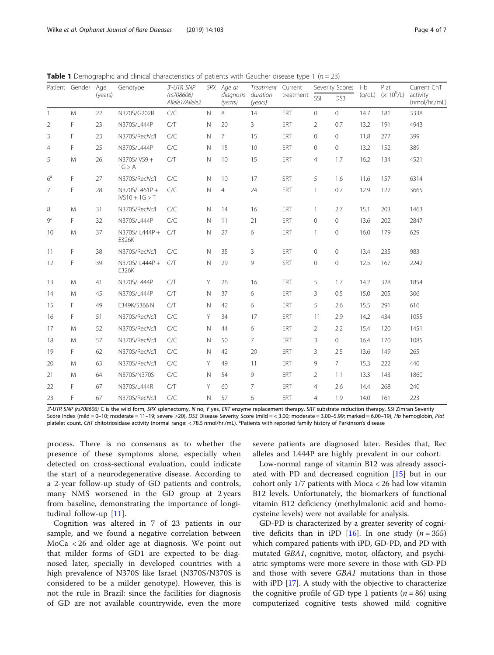<span id="page-3-0"></span>

| <b>Table 1</b> Demographic and clinical characteristics of patients with Gaucher disease type 1 ( $n = 23$ ) |  |  |  |
|--------------------------------------------------------------------------------------------------------------|--|--|--|
|--------------------------------------------------------------------------------------------------------------|--|--|--|

|                | Patient Gender Age | (years) | Genotype                         | 3'-UTR SNP<br>(rs708606)<br>Allele1/Allele2 |              | SPX Age at<br>diagnosis<br>(years) | Treatment Current<br>duration<br>(years) | treatment  | Severity Scores |                | Hb     | Plat         | Current ChT               |
|----------------|--------------------|---------|----------------------------------|---------------------------------------------|--------------|------------------------------------|------------------------------------------|------------|-----------------|----------------|--------|--------------|---------------------------|
|                |                    |         |                                  |                                             |              |                                    |                                          |            | SSI             | DS3            | (g/dL) | $(x 10^9/L)$ | activity<br>(nmol/hr./mL) |
| $\mathbf{1}$   | M                  | 22      | N370S/G202R                      | C/C                                         | $\mathbb N$  | 8                                  | 14                                       | ERT        | $\mathbf 0$     | $\circ$        | 14.7   | 181          | 3338                      |
| $\overline{2}$ | F                  | 23      | N370S/L444P                      | C/T                                         | $\mathsf{N}$ | 20                                 | 3                                        | ERT        | $\overline{2}$  | 0.7            | 13.2   | 191          | 4943                      |
| 3              | F                  | 23      | N370S/RecNcil                    | C/C                                         | $\mathsf{N}$ | 7                                  | 15                                       | ERT        | $\mathbf 0$     | $\circ$        | 11.8   | 277          | 399                       |
| $\overline{4}$ | F                  | 25      | N370S/L444P                      | C/C                                         | $\mathbb N$  | 15                                 | 10                                       | ERT        | $\mathbf 0$     | $\mathbf{0}$   | 13.2   | 152          | 389                       |
| 5              | M                  | 26      | N370S/IVS9+<br>1G > A            | C/T                                         | $\mathsf{N}$ | 10                                 | 15                                       | ERT        | $\overline{4}$  | 1.7            | 16.2   | 134          | 4521                      |
| 6 <sup>a</sup> | F                  | 27      | N370S/RecNcil                    | C/C                                         | $\mathsf{N}$ | 10                                 | 17                                       | SRT        | 5               | 1.6            | 11.6   | 157          | 6314                      |
| $\overline{7}$ | F                  | 28      | N370S/L461P+<br>$IVS10 + 1G > T$ | C/C                                         | $\hbox{N}$   | $\overline{4}$                     | 24                                       | ERT        | $\mathbf{1}$    | 0.7            | 12.9   | 122          | 3665                      |
| 8              | M                  | 31      | N370S/RecNcil                    | C/C                                         | N            | 14                                 | 16                                       | ERT        | $\mathbf{1}$    | 2.7            | 15.1   | 203          | 1463                      |
| 9 <sup>a</sup> | F                  | 32      | N370S/L444P                      | C/C                                         | $\mathsf{N}$ | 11                                 | 21                                       | ERT        | $\mathbf 0$     | $\mathbf 0$    | 13.6   | 202          | 2847                      |
| 10             | M                  | 37      | N370S/L444P+<br>E326K            | C/T                                         | N            | 27                                 | 6                                        | ERT        | 1               | $\mathbf{0}$   | 16.0   | 179          | 629                       |
| 11             | F                  | 38      | N370S/RecNcil                    | C/C                                         | N            | 35                                 | 3                                        | ERT        | $\mathbf 0$     | $\circ$        | 13.4   | 235          | 983                       |
| 12             | F                  | 39      | N370S/L444P+<br>E326K            | C/T                                         | N            | 29                                 | 9                                        | <b>SRT</b> | $\mathbf{0}$    | $\overline{0}$ | 12.5   | 167          | 2242                      |
| 13             | M                  | 41      | N370S/L444P                      | C/T                                         | Υ            | 26                                 | 16                                       | ERT        | 5               | 1.7            | 14.2   | 328          | 1854                      |
| 14             | M                  | 45      | N370S/L444P                      | C/T                                         | N            | 37                                 | 6                                        | ERT        | 3               | 0.5            | 15.0   | 205          | 306                       |
| 15             | F                  | 49      | E349K/S366 N                     | C/T                                         | N            | 42                                 | 6                                        | ERT        | 5               | 2.6            | 15.5   | 291          | 616                       |
| 16             | F                  | 51      | N370S/RecNcil                    | C/C                                         | Υ            | 34                                 | 17                                       | ERT        | 11              | 2.9            | 14.2   | 434          | 1055                      |
| 17             | M                  | 52      | N370S/RecNcil                    | C/C                                         | N            | 44                                 | 6                                        | ERT        | $\overline{2}$  | 2.2            | 15.4   | 120          | 1451                      |
| 18             | M                  | 57      | N370S/RecNcil                    | C/C                                         | N            | 50                                 | $\overline{7}$                           | ERT        | 3               | $\circ$        | 16.4   | 170          | 1085                      |
| 19             | F                  | 62      | N370S/RecNcil                    | C/C                                         | $\mathsf{N}$ | 42                                 | 20                                       | ERT        | 3               | 2.5            | 13.6   | 149          | 265                       |
| 20             | M                  | 63      | N370S/RecNcil                    | C/C                                         | Υ            | 49                                 | 11                                       | ERT        | 9               | $7^{\circ}$    | 15.3   | 222          | 440                       |
| 21             | M                  | 64      | N370S/N370S                      | C/C                                         | Ν            | 54                                 | 9                                        | ERT        | $\overline{2}$  | 1.1            | 13.3   | 143          | 1860                      |
| 22             | F                  | 67      | N370S/L444R                      | C/T                                         | Υ            | 60                                 | 7                                        | ERT        | $\overline{4}$  | 2.6            | 14.4   | 268          | 240                       |
| 23             | F                  | 67      | N370S/RecNcil                    | C/C                                         | N            | 57                                 | 6                                        | ERT        | 4               | 1.9            | 14.0   | 161          | 223                       |

3'-UTR SNP (rs708606) C is the wild form, SPX splenectomy, N no, Y yes, ERT enzyme replacement therapy, SRT substrate reduction therapy, SSI Zimran Severity Score Index (mild = 0-10; moderate = 11-19; severe ≥20), DS3 Disease Severity Score (mild = < 3.00; moderate = 3.00-5.99; marked = 6.00-19), Hb hemoglobin, Plat platelet count, ChT chitotriosidase activity (normal range: < 78.5 nmol/hr./mL). <sup>a</sup>Patients with reported family history of Parkinson's disease

process. There is no consensus as to whether the presence of these symptoms alone, especially when detected on cross-sectional evaluation, could indicate the start of a neurodegenerative disease. According to a 2-year follow-up study of GD patients and controls, many NMS worsened in the GD group at 2 years from baseline, demonstrating the importance of longitudinal follow-up [[11](#page-6-0)].

Cognition was altered in 7 of 23 patients in our sample, and we found a negative correlation between MoCa < 26 and older age at diagnosis. We point out that milder forms of GD1 are expected to be diagnosed later, specially in developed countries with a high prevalence of N370S like Israel (N370S/N370S is considered to be a milder genotype). However, this is not the rule in Brazil: since the facilities for diagnosis of GD are not available countrywide, even the more

severe patients are diagnosed later. Besides that, Rec alleles and L444P are highly prevalent in our cohort.

Low-normal range of vitamin B12 was already associated with PD and decreased cognition [\[15](#page-6-0)] but in our cohort only 1/7 patients with Moca < 26 had low vitamin B12 levels. Unfortunately, the biomarkers of functional vitamin B12 deficiency (methylmalonic acid and homocysteine levels) were not available for analysis.

GD-PD is characterized by a greater severity of cogni-tive deficits than in iPD [\[16](#page-6-0)]. In one study  $(n = 355)$ which compared patients with iPD, GD-PD, and PD with mutated GBA1, cognitive, motor, olfactory, and psychiatric symptoms were more severe in those with GD-PD and those with severe GBA1 mutations than in those with iPD [\[17](#page-6-0)]. A study with the objective to characterize the cognitive profile of GD type 1 patients ( $n = 86$ ) using computerized cognitive tests showed mild cognitive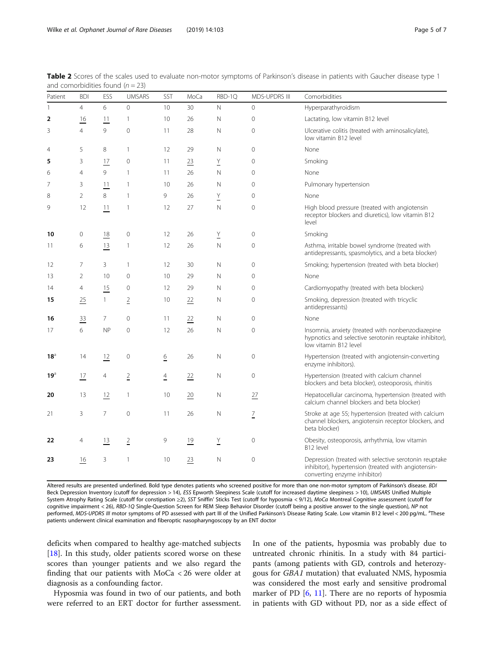<span id="page-4-0"></span>Table 2 Scores of the scales used to evaluate non-motor symptoms of Parkinson's disease in patients with Gaucher disease type 1 and comorbidities found  $(n = 23)$ 

| Patient         | <b>BDI</b>     | ESS          | <b>UMSARS</b>  | SST            | MoCa | RBD-1Q      | MDS-UPDRS III  | Comorbidities                                                                                                                                |
|-----------------|----------------|--------------|----------------|----------------|------|-------------|----------------|----------------------------------------------------------------------------------------------------------------------------------------------|
| $\mathbf{1}$    | $\overline{4}$ | 6            | $\mathbf{0}$   | 10             | 30   | N           | $\mathbf{0}$   | Hyperparathyroidism                                                                                                                          |
| $\overline{2}$  | 16             | 11           | $\mathbf{1}$   | 10             | 26   | $\mathbb N$ | $\mathbf{0}$   | Lactating, low vitamin B12 level                                                                                                             |
| 3               | $\overline{4}$ | 9            | $\overline{0}$ | 11             | 28   | N           | $\mathbf{0}$   | Ulcerative colitis (treated with aminosalicylate),<br>low vitamin B12 level                                                                  |
| $\overline{4}$  | 5              | 8            | $\mathbf{1}$   | 12             | 29   | $\mathbb N$ | $\mathbf{0}$   | None                                                                                                                                         |
| 5               | 3              | 17           | $\mathbf 0$    | 11             | 23   | Y           | $\mathbf{0}$   | Smoking                                                                                                                                      |
| 6               | $\overline{4}$ | 9            | $\mathbf{1}$   | 11             | 26   | N           | $\mathbf 0$    | None                                                                                                                                         |
| 7               | 3              | 11           | $\mathbf{1}$   | 10             | 26   | N           | $\mathbf 0$    | Pulmonary hypertension                                                                                                                       |
| 8               | $\overline{2}$ | 8            | $\mathbf{1}$   | 9              | 26   | Υ           | $\Omega$       | None                                                                                                                                         |
| 9               | 12             | 11           | $\mathbf{1}$   | 12             | 27   | $\mathbb N$ | $\mathbf{0}$   | High blood pressure (treated with angiotensin<br>receptor blockers and diuretics), low vitamin B12<br>level                                  |
| 10              | $\mathbf 0$    | 18           | $\mathbf 0$    | 12             | 26   | Y           | $\mathbf 0$    | Smoking                                                                                                                                      |
| 11              | 6              | 13           | $\mathbf{1}$   | 12             | 26   | $\mathbb N$ | $\mathbf 0$    | Asthma, irritable bowel syndrome (treated with<br>antidepressants, spasmolytics, and a beta blocker)                                         |
| 12              | 7              | 3            | $\mathbf{1}$   | 12             | 30   | $\mathbb N$ | $\mathbf{0}$   | Smoking; hypertension (treated with beta blocker)                                                                                            |
| 13              | 2              | 10           | $\mathbf 0$    | 10             | 29   | N           | $\mathbf{0}$   | None                                                                                                                                         |
| 14              | 4              | 15           | $\mathbf 0$    | 12             | 29   | N           | $\mathbf 0$    | Cardiomyopathy (treated with beta blockers)                                                                                                  |
| 15              | 25             | $\mathbf{1}$ | $\overline{2}$ | 10             | 22   | N           | $\mathbf{0}$   | Smoking, depression (treated with tricyclic<br>antidepressants)                                                                              |
| 16              | 33             | 7            | $\mathbf{0}$   | 11             | 22   | $\mathbb N$ | $\mathbf{0}$   | None                                                                                                                                         |
| 17              | 6              | <b>NP</b>    | $\mathbf{0}$   | 12             | 26   | $\mathbb N$ | $\mathbf 0$    | Insomnia, anxiety (treated with nonbenzodiazepine<br>hypnotics and selective serotonin reuptake inhibitor),<br>low vitamin B12 level         |
| $18^{\circ}$    | 14             | 12           | $\mathbf 0$    | $\frac{6}{1}$  | 26   | $\mathbb N$ | $\mathbf{0}$   | Hypertension (treated with angiotensin-converting<br>enzyme inhibitors).                                                                     |
| 19 <sup>3</sup> | 17             | 4            | $\overline{2}$ | $\overline{4}$ | 22   | N           | $\mathbf 0$    | Hypertension (treated with calcium channel<br>blockers and beta blocker), osteoporosis, rhinitis                                             |
| 20              | 13             | 12           | $\mathbf{1}$   | 10             | 20   | N           | 27             | Hepatocellular carcinoma, hypertension (treated with<br>calcium channel blockers and beta blocker)                                           |
| 21              | 3              | 7            | $\mathbf 0$    | 11             | 26   | N           | $\overline{1}$ | Stroke at age 55; hypertension (treated with calcium<br>channel blockers, angiotensin receptor blockers, and<br>beta blocker)                |
| 22              | 4              | 13           | $\overline{2}$ | 9              | 19   | Y           | $\mathbf{0}$   | Obesity, osteoporosis, arrhythmia, low vitamin<br>B12 level                                                                                  |
| 23              | 16             | 3            | $\mathbf{1}$   | 10             | 23   | N           | $\mathbf 0$    | Depression (treated with selective serotonin reuptake<br>inhibitor), hypertension (treated with angiotensin-<br>converting enzyme inhibitor) |

Altered results are presented underlined. Bold type denotes patients who screened positive for more than one non-motor symptom of Parkinson's disease. BDI Beck Depression Inventory (cutoff for depression > 14), ESS Epworth Sleepiness Scale (cutoff for increased daytime sleepiness > 10), UMSARS Unified Multiple System Atrophy Rating Scale (cutoff for constipation ≥2), SST Sniffin' Sticks Test (cutoff for hyposmia < 9/12), MoCa Montreal Cognitive assessment (cutoff for cognitive impairment < 26), RBD-1Q Single-Question Screen for REM Sleep Behavior Disorder (cutoff being a positive answer to the single question), NP not performed, MDS-UPDRS III motor symptoms of PD assessed with part III of the Unified Parkinson's Disease Rating Scale. Low vitamin B12 level < 200 pg/mL. <sup>a</sup>These patients underwent clinical examination and fiberoptic nasopharyngoscopy by an ENT doctor

deficits when compared to healthy age-matched subjects [[18\]](#page-6-0). In this study, older patients scored worse on these scores than younger patients and we also regard the finding that our patients with MoCa < 26 were older at diagnosis as a confounding factor.

Hyposmia was found in two of our patients, and both were referred to an ERT doctor for further assessment.

In one of the patients, hyposmia was probably due to untreated chronic rhinitis. In a study with 84 participants (among patients with GD, controls and heterozygous for GBA1 mutation) that evaluated NMS, hyposmia was considered the most early and sensitive prodromal marker of PD [\[6](#page-6-0), [11\]](#page-6-0). There are no reports of hyposmia in patients with GD without PD, nor as a side effect of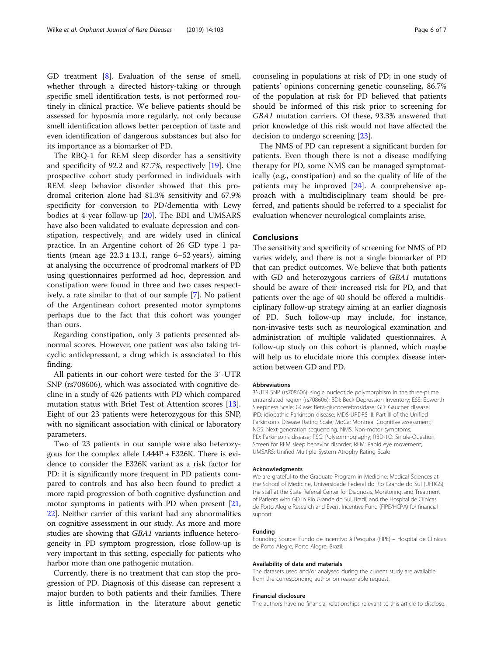GD treatment [[8](#page-6-0)]. Evaluation of the sense of smell, whether through a directed history-taking or through specific smell identification tests, is not performed routinely in clinical practice. We believe patients should be assessed for hyposmia more regularly, not only because smell identification allows better perception of taste and even identification of dangerous substances but also for its importance as a biomarker of PD.

The RBQ-1 for REM sleep disorder has a sensitivity and specificity of 92.2 and 87.7%, respectively [\[19](#page-6-0)]. One prospective cohort study performed in individuals with REM sleep behavior disorder showed that this prodromal criterion alone had 81.3% sensitivity and 67.9% specificity for conversion to PD/dementia with Lewy bodies at 4-year follow-up [\[20](#page-6-0)]. The BDI and UMSARS have also been validated to evaluate depression and constipation, respectively, and are widely used in clinical practice. In an Argentine cohort of 26 GD type 1 patients (mean age  $22.3 \pm 13.1$ , range 6–52 years), aiming at analysing the occurrence of prodromal markers of PD using questionnaires performed ad hoc, depression and constipation were found in three and two cases respectively, a rate similar to that of our sample [[7\]](#page-6-0). No patient of the Argentinean cohort presented motor symptoms perhaps due to the fact that this cohort was younger than ours.

Regarding constipation, only 3 patients presented abnormal scores. However, one patient was also taking tricyclic antidepressant, a drug which is associated to this finding.

All patients in our cohort were tested for the 3′-UTR SNP (rs708606), which was associated with cognitive decline in a study of 426 patients with PD which compared mutation status with Brief Test of Attention scores [\[13](#page-6-0)]. Eight of our 23 patients were heterozygous for this SNP, with no significant association with clinical or laboratory parameters.

Two of 23 patients in our sample were also heterozygous for the complex allele L444P + E326K. There is evidence to consider the E326K variant as a risk factor for PD: it is significantly more frequent in PD patients compared to controls and has also been found to predict a more rapid progression of both cognitive dysfunction and motor symptoms in patients with PD when present [[21](#page-6-0), [22](#page-6-0)]. Neither carrier of this variant had any abnormalities on cognitive assessment in our study. As more and more studies are showing that GBA1 variants influence heterogeneity in PD symptom progression, close follow-up is very important in this setting, especially for patients who harbor more than one pathogenic mutation.

Currently, there is no treatment that can stop the progression of PD. Diagnosis of this disease can represent a major burden to both patients and their families. There is little information in the literature about genetic counseling in populations at risk of PD; in one study of patients' opinions concerning genetic counseling, 86.7% of the population at risk for PD believed that patients should be informed of this risk prior to screening for GBA1 mutation carriers. Of these, 93.3% answered that prior knowledge of this risk would not have affected the decision to undergo screening [\[23\]](#page-6-0).

The NMS of PD can represent a significant burden for patients. Even though there is not a disease modifying therapy for PD, some NMS can be managed symptomatically (e.g., constipation) and so the quality of life of the patients may be improved [\[24](#page-6-0)]. A comprehensive approach with a multidisciplinary team should be preferred, and patients should be referred to a specialist for evaluation whenever neurological complaints arise.

#### Conclusions

The sensitivity and specificity of screening for NMS of PD varies widely, and there is not a single biomarker of PD that can predict outcomes. We believe that both patients with GD and heterozygous carriers of GBA1 mutations should be aware of their increased risk for PD, and that patients over the age of 40 should be offered a multidisciplinary follow-up strategy aiming at an earlier diagnosis of PD. Such follow-up may include, for instance, non-invasive tests such as neurological examination and administration of multiple validated questionnaires. A follow-up study on this cohort is planned, which maybe will help us to elucidate more this complex disease interaction between GD and PD.

#### Abbreviations

3′-UTR SNP (rs708606): single nucleotide polymorphism in the three-prime untranslated region (rs708606); BDI: Beck Depression Inventory; ESS: Epworth Sleepiness Scale; GCase: Beta-glucocerebrosidase; GD: Gaucher disease; iPD: idiopathic Parkinson disease; MDS-UPDRS III: Part III of the Unified Parkinson's Disease Rating Scale; MoCa: Montreal Cognitive assessment; NGS: Next-generation sequencing; NMS: Non-motor symptoms; PD: Parkinson's disease; PSG: Polysomnography; RBD-1Q: Single-Question Screen for REM sleep behavior disorder; REM: Rapid eye movement; UMSARS: Unified Multiple System Atrophy Rating Scale

#### Acknowledgments

We are grateful to the Graduate Program in Medicine: Medical Sciences at the School of Medicine, Universidade Federal do Rio Grande do Sul (UFRGS); the staff at the State Referral Center for Diagnosis, Monitoring, and Treatment of Patients with GD in Rio Grande do Sul, Brazil; and the Hospital de Clínicas de Porto Alegre Research and Event Incentive Fund (FIPE/HCPA) for financial support.

#### Funding

Founding Source: Fundo de Incentivo à Pesquisa (FIPE) – Hospital de Clinicas de Porto Alegre, Porto Alegre, Brazil.

#### Availability of data and materials

The datasets used and/or analysed during the current study are available from the corresponding author on reasonable request.

#### Financial disclosure

The authors have no financial relationships relevant to this article to disclose.